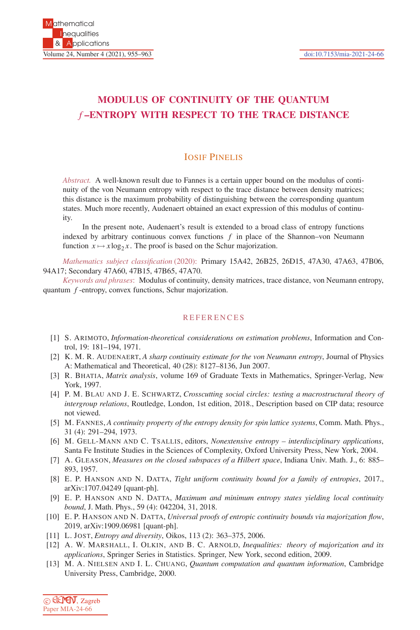## **MODULUS OF CONTINUITY OF THE QUANTUM** *f* **–ENTROPY WITH RESPECT TO THE TRACE DISTANCE**

## IOSIF PINELIS

*Abstract.* A well-known result due to Fannes is a certain upper bound on the modulus of continuity of the von Neumann entropy with respect to the trace distance between density matrices; this distance is the maximum probability of distinguishing between the corresponding quantum states. Much more recently, Audenaert obtained an exact expression of this modulus of continuity.

In the present note, Audenaert's result is extended to a broad class of entropy functions indexed by arbitrary continuous convex functions  $f$  in place of the Shannon–von Neumann function  $x \mapsto x \log_2 x$ . The proof is based on the Schur majorization.

*Mathematics subject classification* (2020): Primary 15A42, 26B25, 26D15, 47A30, 47A63, 47B06, 94A17; Secondary 47A60, 47B15, 47B65, 47A70.

*Keywords and phrases*: Modulus of continuity, density matrices, trace distance, von Neumann entropy, quantum *f* -entropy, convex functions, Schur majorization.

## **REFERENCES**

- [1] S. ARIMOTO, *Information-theoretical considerations on estimation problems*, Information and Control, 19: 181–194, 1971.
- [2] K. M. R. AUDENAERT, *A sharp continuity estimate for the von Neumann entropy*, Journal of Physics A: Mathematical and Theoretical, 40 (28): 8127–8136, Jun 2007.
- [3] R. BHATIA, *Matrix analysis*, volume 169 of Graduate Texts in Mathematics, Springer-Verlag, New York, 1997.
- [4] P. M. BLAU AND J. E. SCHWARTZ, *Crosscutting social circles: testing a macrostructural theory of intergroup relations*, Routledge, London, 1st edition, 2018., Description based on CIP data; resource not viewed.
- [5] M. FANNES, *A continuity property of the entropy density for spin lattice systems*, Comm. Math. Phys., 31 (4): 291–294, 1973.
- [6] M. GELL-MANN AND C. TSALLIS, editors, *Nonextensive entropy interdisciplinary applications*, Santa Fe Institute Studies in the Sciences of Complexity, Oxford University Press, New York, 2004.
- [7] A. GLEASON, *Measures on the closed subspaces of a Hilbert space*, Indiana Univ. Math. J., 6: 885– 893, 1957.
- [8] E. P. HANSON AND N. DATTA, *Tight uniform continuity bound for a family of entropies*, 2017., arXiv:1707.04249 [quant-ph].
- [9] E. P. HANSON AND N. DATTA, *Maximum and minimum entropy states yielding local continuity bound*, J. Math. Phys., 59 (4): 042204, 31, 2018.
- [10] E. P. HANSON AND N. DATTA, *Universal proofs of entropic continuity bounds via majorization flow*, 2019, arXiv:1909.06981 [quant-ph].
- [11] L. JOST, *Entropy and diversity*, Oikos, 113 (2): 363–375, 2006.
- [12] A. W. MARSHALL, I. OLKIN, AND B. C. ARNOLD, *Inequalities: theory of majorization and its applications*, Springer Series in Statistics. Springer, New York, second edition, 2009.
- [13] M. A. NIELSEN AND I. L. CHUANG, *Quantum computation and quantum information*, Cambridge University Press, Cambridge, 2000.